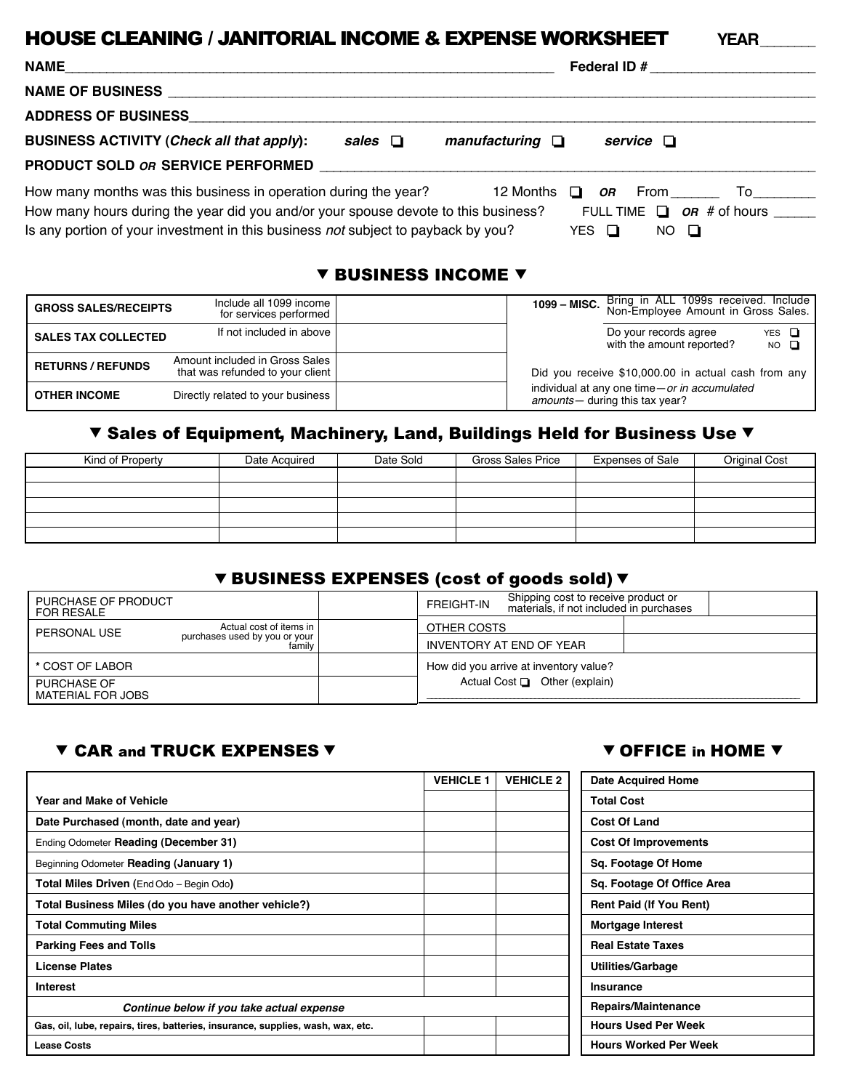# HOUSE CLEANING / JANITORIAL INCOME & EXPENSE WORKSHEET **YEAR**\_\_\_\_\_\_\_\_

| <b>NAME</b>                                                                                                                                                                                                                                | Federal ID #                                                                                                  |
|--------------------------------------------------------------------------------------------------------------------------------------------------------------------------------------------------------------------------------------------|---------------------------------------------------------------------------------------------------------------|
| <b>NAME OF BUSINESS ___</b>                                                                                                                                                                                                                |                                                                                                               |
| <b>ADDRESS OF BUSINESS</b>                                                                                                                                                                                                                 |                                                                                                               |
| <b>BUSINESS ACTIVITY (Check all that apply):</b><br>sales $\Box$                                                                                                                                                                           | manufacturing $\Box$<br>service $\Box$                                                                        |
| PRODUCT SOLD OR SERVICE PERFORMED                                                                                                                                                                                                          |                                                                                                               |
| How many months was this business in operation during the year?<br>How many hours during the year did you and/or your spouse devote to this business?<br>Is any portion of your investment in this business not subject to payback by you? | <b>OR</b> From To<br>12 Months<br>$\cdot$ O $\cdot$<br>FULL TIME $\Box$ OR # of hours<br>YES O<br>$NO$ $\Box$ |

#### **V BUSINESS INCOME V**

| <b>GROSS SALES/RECEIPTS</b> | Include all 1099 income<br>for services performed                  | 1099 - MISC. | Bring in ALL 1099s received. Include<br>Non-Employee Amount in Gross Sales.     |                           |
|-----------------------------|--------------------------------------------------------------------|--------------|---------------------------------------------------------------------------------|---------------------------|
| <b>SALES TAX COLLECTED</b>  | If not included in above                                           |              | Do your records agree<br>with the amount reported?                              | YES $\Box$<br>$NO$ $\Box$ |
| <b>RETURNS / REFUNDS</b>    | Amount included in Gross Sales<br>that was refunded to your client |              | Did you receive \$10,000.00 in actual cash from any                             |                           |
| <b>OTHER INCOME</b>         | Directly related to your business                                  |              | individual at any one time-or in accumulated<br>amounts - during this tax year? |                           |

## ▼ Sales of Equipment, Machinery, Land, Buildings Held for Business Use ▼

| Kind of Property | Date Acquired | Date Sold | <b>Gross Sales Price</b> | <b>Expenses of Sale</b> | <b>Original Cost</b> |
|------------------|---------------|-----------|--------------------------|-------------------------|----------------------|
|                  |               |           |                          |                         |                      |
|                  |               |           |                          |                         |                      |
|                  |               |           |                          |                         |                      |
|                  |               |           |                          |                         |                      |
|                  |               |           |                          |                         |                      |

## ▼ BUSINESS EXPENSES (cost of goods sold) ▼

| PURCHASE OF PRODUCT<br>FOR RESALE                                          |        | <b>FREIGHT-IN</b> | Shipping cost to receive product or<br>materials, if not included in purchases |  |
|----------------------------------------------------------------------------|--------|-------------------|--------------------------------------------------------------------------------|--|
| Actual cost of items in I<br>PERSONAL USE<br>purchases used by you or your |        | OTHER COSTS       |                                                                                |  |
|                                                                            | family |                   | INVENTORY AT END OF YEAR                                                       |  |
| * COST OF LABOR                                                            |        |                   | How did you arrive at inventory value?                                         |  |
| PURCHASE OF<br>MATERIAL FOR JOBS                                           |        |                   | Actual Cost $\Box$ Other (explain)                                             |  |

## ▼ CAR and TRUCK EXPENSES ▼ OFFICE in HOME ▼

|                                                                                 | <b>VEHICLE 1</b> | <b>VEHICLE 2</b> | <b>Date Acquired Home</b>      |
|---------------------------------------------------------------------------------|------------------|------------------|--------------------------------|
| <b>Year and Make of Vehicle</b>                                                 |                  |                  | <b>Total Cost</b>              |
| Date Purchased (month, date and year)                                           |                  |                  | <b>Cost Of Land</b>            |
| Ending Odometer Reading (December 31)                                           |                  |                  | <b>Cost Of Improvements</b>    |
| Beginning Odometer Reading (January 1)                                          |                  |                  | Sq. Footage Of Home            |
| Total Miles Driven (End Odo - Begin Odo)                                        |                  |                  | Sq. Footage Of Office Area     |
| Total Business Miles (do you have another vehicle?)                             |                  |                  | <b>Rent Paid (If You Rent)</b> |
| <b>Total Commuting Miles</b>                                                    |                  |                  | Mortgage Interest              |
| <b>Parking Fees and Tolls</b>                                                   |                  |                  | <b>Real Estate Taxes</b>       |
| <b>License Plates</b>                                                           |                  |                  | <b>Utilities/Garbage</b>       |
| <b>Interest</b>                                                                 |                  |                  | Insurance                      |
| Continue below if you take actual expense                                       |                  |                  | Repairs/Maintenance            |
| Gas, oil, lube, repairs, tires, batteries, insurance, supplies, wash, wax, etc. |                  |                  | <b>Hours Used Per Week</b>     |
| <b>Lease Costs</b>                                                              |                  |                  | <b>Hours Worked Per Week</b>   |